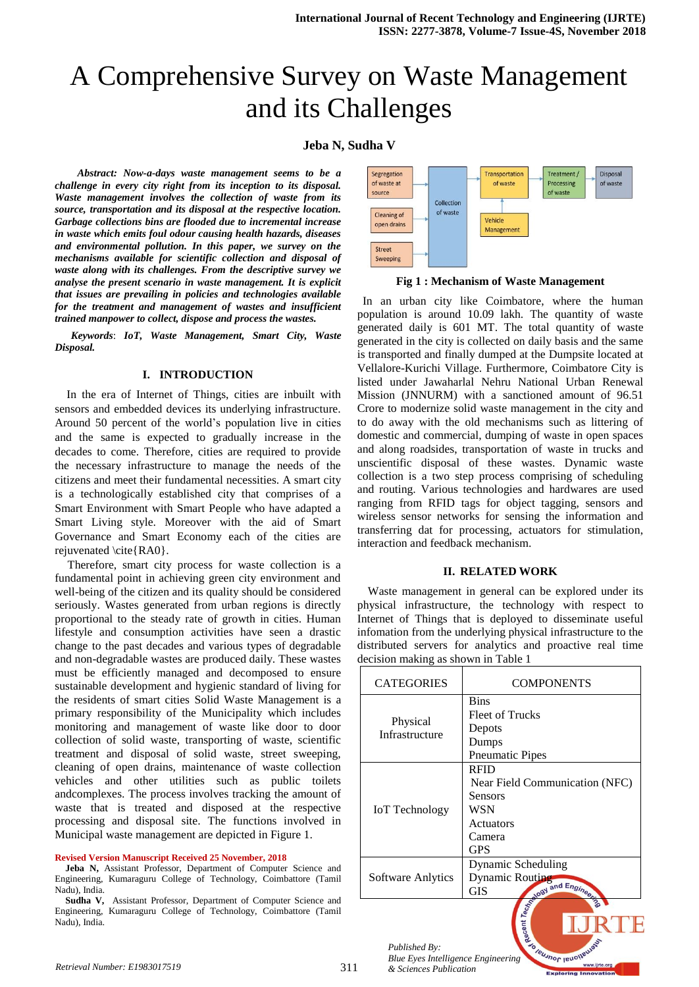# A Comprehensive Survey on Waste Management and its Challenges

# **Jeba N, Sudha V**

 *Abstract: Now-a-days waste management seems to be a challenge in every city right from its inception to its disposal. Waste management involves the collection of waste from its source, transportation and its disposal at the respective location. Garbage collections bins are flooded due to incremental increase in waste which emits foul odour causing health hazards, diseases and environmental pollution. In this paper, we survey on the mechanisms available for scientific collection and disposal of waste along with its challenges. From the descriptive survey we analyse the present scenario in waste management. It is explicit that issues are prevailing in policies and technologies available*  for the treatment and management of wastes and insufficient *trained manpower to collect, dispose and process the wastes.*

*Keywords*: *IoT, Waste Management, Smart City, Waste Disposal.*

#### **I. INTRODUCTION**

In the era of Internet of Things, cities are inbuilt with sensors and embedded devices its underlying infrastructure. Around 50 percent of the world's population live in cities and the same is expected to gradually increase in the decades to come. Therefore, cities are required to provide the necessary infrastructure to manage the needs of the citizens and meet their fundamental necessities. A smart city is a technologically established city that comprises of a Smart Environment with Smart People who have adapted a Smart Living style. Moreover with the aid of Smart Governance and Smart Economy each of the cities are rejuvenated  $\cite{RA0}$ .

Therefore, smart city process for waste collection is a fundamental point in achieving green city environment and well-being of the citizen and its quality should be considered seriously. Wastes generated from urban regions is directly proportional to the steady rate of growth in cities. Human lifestyle and consumption activities have seen a drastic change to the past decades and various types of degradable and non-degradable wastes are produced daily. These wastes must be efficiently managed and decomposed to ensure sustainable development and hygienic standard of living for the residents of smart cities Solid Waste Management is a primary responsibility of the Municipality which includes monitoring and management of waste like door to door collection of solid waste, transporting of waste, scientific treatment and disposal of solid waste, street sweeping, cleaning of open drains, maintenance of waste collection vehicles and other utilities such as public toilets andcomplexes. The process involves tracking the amount of waste that is treated and disposed at the respective processing and disposal site. The functions involved in Municipal waste management are depicted in Figure 1.

#### **Revised Version Manuscript Received 25 November, 2018**

- **Jeba N,** Assistant Professor, Department of Computer Science and Engineering, Kumaraguru College of Technology, Coimbattore (Tamil Nadu), India.
- Assistant Professor, Department of Computer Science and Engineering, Kumaraguru College of Technology, Coimbattore (Tamil Nadu), India.



**Fig 1 : Mechanism of Waste Management**

In an urban city like Coimbatore, where the human population is around 10.09 lakh. The quantity of waste generated daily is 601 MT. The total quantity of waste generated in the city is collected on daily basis and the same is transported and finally dumped at the Dumpsite located at Vellalore-Kurichi Village. Furthermore, Coimbatore City is listed under Jawaharlal Nehru National Urban Renewal Mission (JNNURM) with a sanctioned amount of 96.51 Crore to modernize solid waste management in the city and to do away with the old mechanisms such as littering of domestic and commercial, dumping of waste in open spaces and along roadsides, transportation of waste in trucks and unscientific disposal of these wastes. Dynamic waste collection is a two step process comprising of scheduling and routing. Various technologies and hardwares are used ranging from RFID tags for object tagging, sensors and wireless sensor networks for sensing the information and transferring dat for processing, actuators for stimulation, interaction and feedback mechanism.

#### **II. RELATED WORK**

Waste management in general can be explored under its physical infrastructure, the technology with respect to Internet of Things that is deployed to disseminate useful infomation from the underlying physical infrastructure to the distributed servers for analytics and proactive real time decision making as shown in Table 1

| <b>CATEGORIES</b>          | <b>COMPONENTS</b>                                                                                    |
|----------------------------|------------------------------------------------------------------------------------------------------|
| Physical<br>Infrastructure | <b>Bins</b><br><b>Fleet of Trucks</b><br>Depots<br>Dumps<br><b>Pneumatic Pipes</b>                   |
| <b>IoT</b> Technology      | <b>RFID</b><br>Near Field Communication (NFC)<br>Sensors<br>WSN<br>Actuators<br>Camera<br><b>GPS</b> |
| Software Anlytics          | Dynamic Scheduling<br>Dynamic Routing<br>and Engineer<br><b>GIS</b>                                  |
|                            | scent Technology<br>30                                                                               |

*Published By: Published By:*<br>*Blue Eyes Intelligence Engineering*<br>& *Sciences Publication*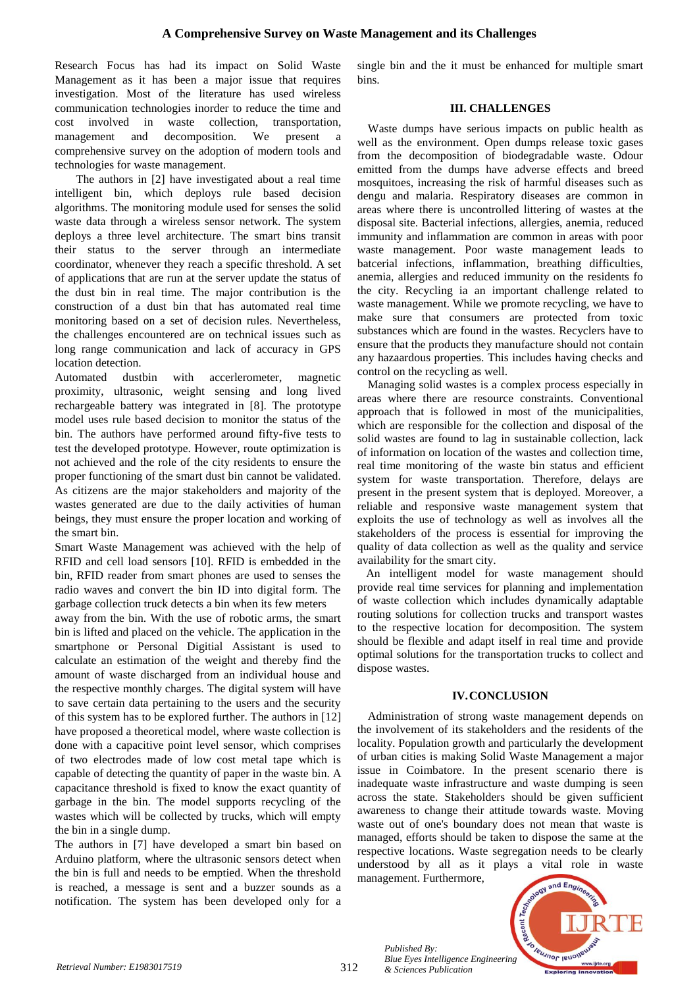Research Focus has had its impact on Solid Waste Management as it has been a major issue that requires investigation. Most of the literature has used wireless communication technologies inorder to reduce the time and cost involved in waste collection, transportation, management and decomposition. We present a comprehensive survey on the adoption of modern tools and technologies for waste management.

The authors in [2] have investigated about a real time intelligent bin, which deploys rule based decision algorithms. The monitoring module used for senses the solid waste data through a wireless sensor network. The system deploys a three level architecture. The smart bins transit their status to the server through an intermediate coordinator, whenever they reach a specific threshold. A set of applications that are run at the server update the status of the dust bin in real time. The major contribution is the construction of a dust bin that has automated real time monitoring based on a set of decision rules. Nevertheless, the challenges encountered are on technical issues such as long range communication and lack of accuracy in GPS location detection.

Automated dustbin with accerlerometer, magnetic proximity, ultrasonic, weight sensing and long lived rechargeable battery was integrated in [8]. The prototype model uses rule based decision to monitor the status of the bin. The authors have performed around fifty-five tests to test the developed prototype. However, route optimization is not achieved and the role of the city residents to ensure the proper functioning of the smart dust bin cannot be validated. As citizens are the major stakeholders and majority of the wastes generated are due to the daily activities of human beings, they must ensure the proper location and working of the smart bin.

Smart Waste Management was achieved with the help of RFID and cell load sensors [10]. RFID is embedded in the bin, RFID reader from smart phones are used to senses the radio waves and convert the bin ID into digital form. The garbage collection truck detects a bin when its few meters

away from the bin. With the use of robotic arms, the smart bin is lifted and placed on the vehicle. The application in the smartphone or Personal Digitial Assistant is used to calculate an estimation of the weight and thereby find the amount of waste discharged from an individual house and the respective monthly charges. The digital system will have to save certain data pertaining to the users and the security of this system has to be explored further. The authors in [12] have proposed a theoretical model, where waste collection is done with a capacitive point level sensor, which comprises of two electrodes made of low cost metal tape which is capable of detecting the quantity of paper in the waste bin. A capacitance threshold is fixed to know the exact quantity of garbage in the bin. The model supports recycling of the wastes which will be collected by trucks, which will empty the bin in a single dump.

The authors in [7] have developed a smart bin based on Arduino platform, where the ultrasonic sensors detect when the bin is full and needs to be emptied. When the threshold is reached, a message is sent and a buzzer sounds as a notification. The system has been developed only for a

single bin and the it must be enhanced for multiple smart bins.

## **III. CHALLENGES**

Waste dumps have serious impacts on public health as well as the environment. Open dumps release toxic gases from the decomposition of biodegradable waste. Odour emitted from the dumps have adverse effects and breed mosquitoes, increasing the risk of harmful diseases such as dengu and malaria. Respiratory diseases are common in areas where there is uncontrolled littering of wastes at the disposal site. Bacterial infections, allergies, anemia, reduced immunity and inflammation are common in areas with poor waste management. Poor waste management leads to batcerial infections, inflammation, breathing difficulties, anemia, allergies and reduced immunity on the residents fo the city. Recycling ia an important challenge related to waste management. While we promote recycling, we have to make sure that consumers are protected from toxic substances which are found in the wastes. Recyclers have to ensure that the products they manufacture should not contain any hazaardous properties. This includes having checks and control on the recycling as well.

Managing solid wastes is a complex process especially in areas where there are resource constraints. Conventional approach that is followed in most of the municipalities, which are responsible for the collection and disposal of the solid wastes are found to lag in sustainable collection, lack of information on location of the wastes and collection time, real time monitoring of the waste bin status and efficient system for waste transportation. Therefore, delays are present in the present system that is deployed. Moreover, a reliable and responsive waste management system that exploits the use of technology as well as involves all the stakeholders of the process is essential for improving the quality of data collection as well as the quality and service availability for the smart city.

An intelligent model for waste management should provide real time services for planning and implementation of waste collection which includes dynamically adaptable routing solutions for collection trucks and transport wastes to the respective location for decomposition. The system should be flexible and adapt itself in real time and provide optimal solutions for the transportation trucks to collect and dispose wastes.

## **IV.CONCLUSION**

Administration of strong waste management depends on the involvement of its stakeholders and the residents of the locality. Population growth and particularly the development of urban cities is making Solid Waste Management a major issue in Coimbatore. In the present scenario there is inadequate waste infrastructure and waste dumping is seen across the state. Stakeholders should be given sufficient awareness to change their attitude towards waste. Moving waste out of one's boundary does not mean that waste is managed, efforts should be taken to dispose the same at the respective locations. Waste segregation needs to be clearly understood by all as it plays a vital role in waste management. Furthermore,



*Published By:*